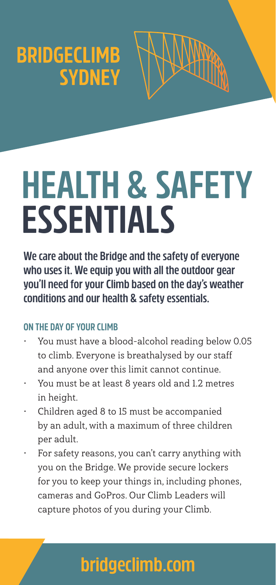## **BRIDGECLIMB SYDNEY**



# **HEALTH & SAFETY ESSENTIALS**

**We care about the Bridge and the safety of everyone who uses it. We equip you with all the outdoor gear you'll need for your Climb based on the day's weather conditions and our health & safety essentials.**

### **ON THE DAY OF YOUR CLIMB**

- You must have a blood-alcohol reading below 0.05 to climb. Everyone is breathalysed by our staff and anyone over this limit cannot continue.
- You must be at least 8 years old and 1.2 metres in height.
- Children aged 8 to 15 must be accompanied by an adult, with a maximum of three children per adult.
- For safety reasons, you can't carry anything with you on the Bridge. We provide secure lockers for you to keep your things in, including phones, cameras and GoPros. Our Climb Leaders will capture photos of you during your Climb.

### **bridgeclimb.com**